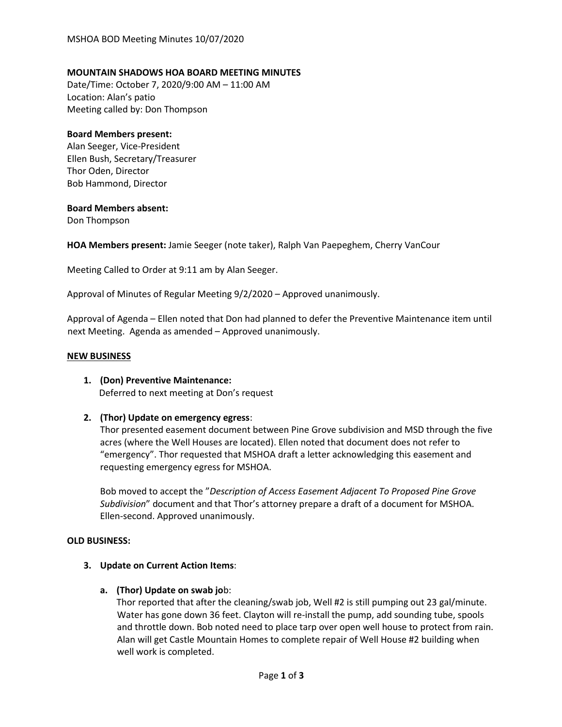# **MOUNTAIN SHADOWS HOA BOARD MEETING MINUTES**

Date/Time: October 7, 2020/9:00 AM – 11:00 AM Location: Alan's patio Meeting called by: Don Thompson

## **Board Members present:**

Alan Seeger, Vice-President Ellen Bush, Secretary/Treasurer Thor Oden, Director Bob Hammond, Director

## **Board Members absent:**

Don Thompson

**HOA Members present:** Jamie Seeger (note taker), Ralph Van Paepeghem, Cherry VanCour

Meeting Called to Order at 9:11 am by Alan Seeger.

Approval of Minutes of Regular Meeting 9/2/2020 – Approved unanimously.

Approval of Agenda – Ellen noted that Don had planned to defer the Preventive Maintenance item until next Meeting. Agenda as amended – Approved unanimously.

## **NEW BUSINESS**

**1. (Don) Preventive Maintenance:** Deferred to next meeting at Don's request

# **2. (Thor) Update on emergency egress**:

Thor presented easement document between Pine Grove subdivision and MSD through the five acres (where the Well Houses are located). Ellen noted that document does not refer to "emergency". Thor requested that MSHOA draft a letter acknowledging this easement and requesting emergency egress for MSHOA.

Bob moved to accept the "*Description of Access Easement Adjacent To Proposed Pine Grove Subdivision*" document and that Thor's attorney prepare a draft of a document for MSHOA. Ellen-second. Approved unanimously.

#### **OLD BUSINESS:**

- **3. Update on Current Action Items**:
	- **a. (Thor) Update on swab jo**b:

Thor reported that after the cleaning/swab job, Well #2 is still pumping out 23 gal/minute. Water has gone down 36 feet. Clayton will re-install the pump, add sounding tube, spools and throttle down. Bob noted need to place tarp over open well house to protect from rain. Alan will get Castle Mountain Homes to complete repair of Well House #2 building when well work is completed.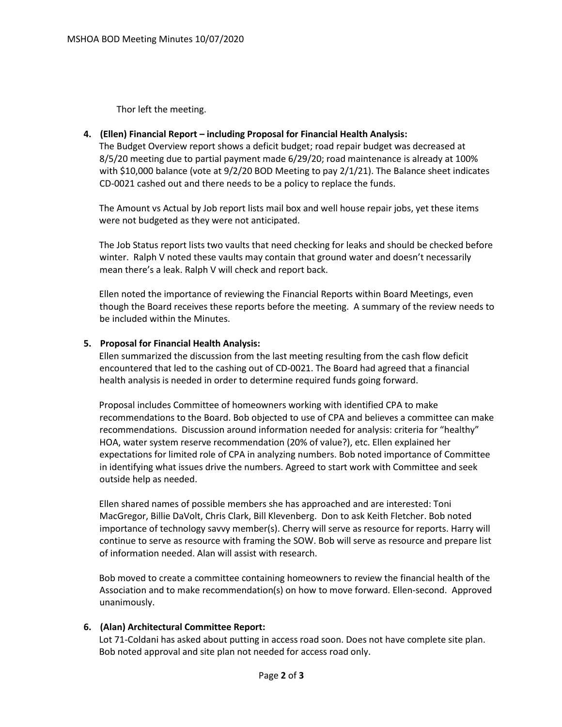Thor left the meeting.

# **4. (Ellen) Financial Report – including Proposal for Financial Health Analysis:**

The Budget Overview report shows a deficit budget; road repair budget was decreased at 8/5/20 meeting due to partial payment made 6/29/20; road maintenance is already at 100% with \$10,000 balance (vote at 9/2/20 BOD Meeting to pay 2/1/21). The Balance sheet indicates CD-0021 cashed out and there needs to be a policy to replace the funds.

The Amount vs Actual by Job report lists mail box and well house repair jobs, yet these items were not budgeted as they were not anticipated.

The Job Status report lists two vaults that need checking for leaks and should be checked before winter. Ralph V noted these vaults may contain that ground water and doesn't necessarily mean there's a leak. Ralph V will check and report back.

Ellen noted the importance of reviewing the Financial Reports within Board Meetings, even though the Board receives these reports before the meeting. A summary of the review needs to be included within the Minutes.

# **5. Proposal for Financial Health Analysis:**

Ellen summarized the discussion from the last meeting resulting from the cash flow deficit encountered that led to the cashing out of CD-0021. The Board had agreed that a financial health analysis is needed in order to determine required funds going forward.

Proposal includes Committee of homeowners working with identified CPA to make recommendations to the Board. Bob objected to use of CPA and believes a committee can make recommendations. Discussion around information needed for analysis: criteria for "healthy" HOA, water system reserve recommendation (20% of value?), etc. Ellen explained her expectations for limited role of CPA in analyzing numbers. Bob noted importance of Committee in identifying what issues drive the numbers. Agreed to start work with Committee and seek outside help as needed.

Ellen shared names of possible members she has approached and are interested: Toni MacGregor, Billie DaVolt, Chris Clark, Bill Klevenberg. Don to ask Keith Fletcher. Bob noted importance of technology savvy member(s). Cherry will serve as resource for reports. Harry will continue to serve as resource with framing the SOW. Bob will serve as resource and prepare list of information needed. Alan will assist with research.

Bob moved to create a committee containing homeowners to review the financial health of the Association and to make recommendation(s) on how to move forward. Ellen-second. Approved unanimously.

# **6. (Alan) Architectural Committee Report:**

Lot 71-Coldani has asked about putting in access road soon. Does not have complete site plan. Bob noted approval and site plan not needed for access road only.